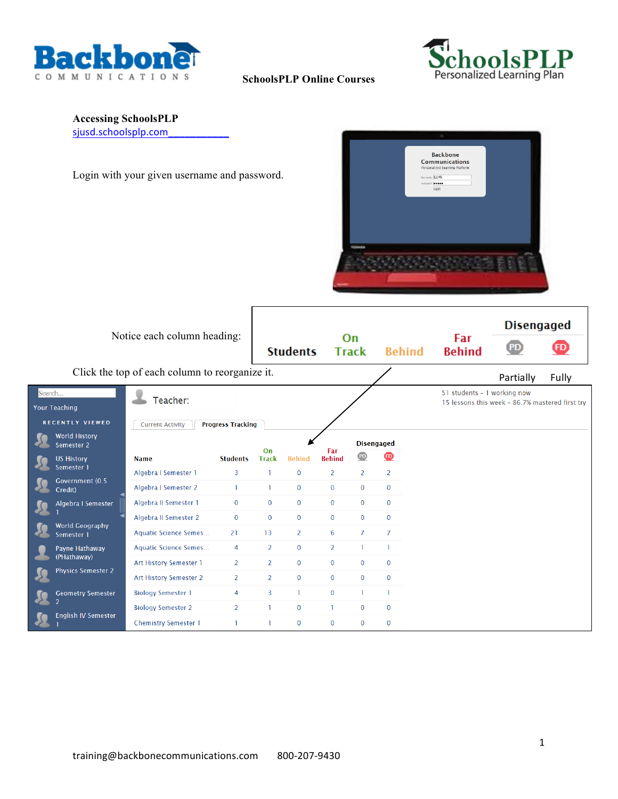



## **SchoolsPLP Online Courses**

# **Accessing SchoolsPLP**

sjusd.schoolsplp.com

Login with your given username and password.



|        |                                                       | Notice each column heading:                    |                          |                | <b>Students</b> |                | On<br><b>Track</b> | <b>Behind</b>  | Far<br><b>Behind</b>        | <b>Disengaged</b><br>$\overline{\mathbf{P}}$    | $\boldsymbol{\mathbf{\Phi}}$ |
|--------|-------------------------------------------------------|------------------------------------------------|--------------------------|----------------|-----------------|----------------|--------------------|----------------|-----------------------------|-------------------------------------------------|------------------------------|
|        |                                                       | Click the top of each column to reorganize it. |                          |                |                 |                |                    |                |                             | Partially                                       | Fully                        |
| Search | <b>Your Teaching</b>                                  | Teacher:                                       |                          |                |                 |                |                    |                | 51 students - 1 working now | 15 lessons this week - 86.7% mastered first try |                              |
|        | <b>RECENTLY VIEWED</b><br>World History<br>Semester 2 | <b>Current Activity</b>                        | <b>Progress Tracking</b> | On             |                 | Far            | <b>Disengaged</b>  |                |                             |                                                 |                              |
|        | <b>US History</b>                                     | <b>Name</b>                                    | <b>Students</b>          | <b>Track</b>   | <b>Behind</b>   | <b>Behind</b>  | PD                 | ⊕              |                             |                                                 |                              |
|        | Semester 1                                            | Algebra I Semester 1                           | 3                        | n              | $\mathbf 0$     | 2              | 2                  | $\overline{2}$ |                             |                                                 |                              |
|        | Government (0.5<br>Credit)                            | Algebra I Semester 2                           | $\mathbf{1}$             | $\mathbf{I}$   | 0               | $\mathbf 0$    | $\mathbf 0$        | $\mathbf{0}$   |                             |                                                 |                              |
|        | Algebra I Semester                                    | Algebra II Semester 1                          | $\mathbf{0}$             | $\mathbf{0}$   | $\mathbf 0$     | $\mathbf 0$    | $\bf{0}$           | $\mathbf{0}$   |                             |                                                 |                              |
|        | <b>World Geography</b>                                | Algebra II Semester 2                          | $\mathbf{0}$             | $\mathbf{0}$   | $\mathbf 0$     | $\mathbf 0$    | $\mathbf{0}$       | $\bf{0}$       |                             |                                                 |                              |
|        | Semester 1                                            | <b>Aquatic Science Semes</b>                   | 21                       | 13             | $\overline{2}$  | 6              | $\overline{7}$     | $\overline{7}$ |                             |                                                 |                              |
|        | Payne Hathaway                                        | <b>Aquatic Science Semes</b>                   | $\overline{4}$           | $\overline{2}$ | $\mathbf 0$     | $\overline{2}$ | T.                 | ı              |                             |                                                 |                              |
|        | (PHathaway)                                           | Art History Semester 1                         | $\overline{2}$           | 2              | $\mathbf 0$     | $\mathbf{0}$   | $\mathbf{0}$       | $\mathbf{0}$   |                             |                                                 |                              |
|        | <b>Physics Semester 2</b>                             | <b>Art History Semester 2</b>                  | $\overline{2}$           | 2              | $\mathbf 0$     | $\overline{0}$ | $\mathbf{0}$       | $\mathbf{0}$   |                             |                                                 |                              |
|        | <b>Geometry Semester</b>                              | <b>Biology Semester 1</b>                      | $\overline{4}$           | $\overline{3}$ | T               | $\mathbf{0}$   | T                  | ı              |                             |                                                 |                              |
|        | $\overline{2}$                                        | <b>Biology Semester 2</b>                      | $\overline{2}$           | ı              | $\mathbf 0$     | ı.             | $\mathbf{0}$       | $\mathbf{0}$   |                             |                                                 |                              |
|        | <b>English IV Semester</b>                            | <b>Chemistry Semester 1</b>                    |                          |                | $\mathbf 0$     | $\mathbf{0}$   | $\mathbf{0}$       | $\mathbf{0}$   |                             |                                                 |                              |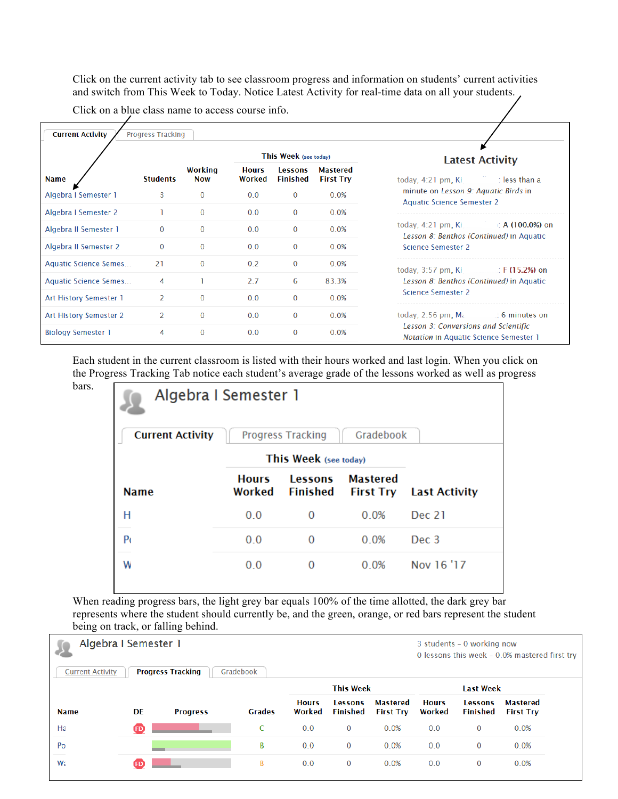Click on the current activity tab to see classroom progress and information on students' current activities and switch from This Week to Today. Notice Latest Activity for real-time data on all your students.

Click on a blue class name to access course info.

|                              |                 |                       |                        | This Week (see today) |                                     | <b>Latest Activity</b>                                                                |
|------------------------------|-----------------|-----------------------|------------------------|-----------------------|-------------------------------------|---------------------------------------------------------------------------------------|
| <b>Name</b>                  | <b>Students</b> | Working<br><b>Now</b> | <b>Hours</b><br>Worked | Lessons<br>Finished   | <b>Mastered</b><br><b>First Try</b> | : less than a<br>today, 4:21 pm, Ki                                                   |
| Algebra I Semester 1         | 3               | $\Omega$              | 0.0                    | $\Omega$              | 0.0%                                | minute on Lesson 9: Aquatic Birds in<br><b>Aquatic Science Semester 2</b>             |
| Algebra I Semester 2         |                 | $\mathbf{0}$          | 0.0                    | $\Omega$              | 0.0%                                |                                                                                       |
| Algebra II Semester 1        | $\mathbf{0}$    | $\mathbf{0}$          | 0.0                    | $\mathbf{0}$          | 0.0%                                | today, 4:21 pm, Ki<br>∷ A (100.0%) on<br>Lesson 8: Benthos (Continued) in Aquatic     |
| Algebra II Semester 2        | $\mathbf{0}$    | $\mathbf{0}$          | 0.0                    | $\mathbf{0}$          | 0.0%                                | Science Semester 2                                                                    |
| Aquatic Science Semes        | 21              | $\mathbf{0}$          | 0.2                    | $\bf{0}$              | 0.0%                                | today, $3:57$ pm, Ki<br>$\therefore$ F (15.2%) on                                     |
| <b>Aquatic Science Semes</b> | 4               |                       | 2.7                    | 6                     | 83.3%                               | Lesson 8: Benthos (Continued) in Aquatic                                              |
| Art History Semester 1       | $\overline{2}$  | $\mathbf{0}$          | 0.0                    | $\Omega$              | 0.0%                                | <b>Science Semester 2</b>                                                             |
| Art History Semester 2       | 2               | $\mathbf{0}$          | 0.0                    | $\bf{0}$              | 0.0%                                | today, $2:56$ pm, $M\epsilon$<br>to 6 minutes on                                      |
| <b>Biology Semester 1</b>    | 4               | $\mathbf{0}$          | 0.0                    | 0                     | 0.0%                                | Lesson 3: Conversions and Scientific<br><b>Notation in Aquatic Science Semester 1</b> |

Each student in the current classroom is listed with their hours worked and last login. When you click on the Progress Tracking Tab notice each student's average grade of the lessons worked as well as progress bars.

| <b>Current Activity</b> |                        | <b>Progress Tracking</b>          | Gradebook                           |                      |
|-------------------------|------------------------|-----------------------------------|-------------------------------------|----------------------|
|                         | This Week (see today)  |                                   |                                     |                      |
| <b>Name</b>             | <b>Hours</b><br>Worked | <b>Lessons</b><br><b>Finished</b> | <b>Mastered</b><br><b>First Try</b> | <b>Last Activity</b> |
| Η                       | 0.0                    | $\bf{0}$                          | 0.0%                                | Dec 21               |
| P(                      | 0.0                    | $\Omega$                          | 0.0%                                | Dec 3                |
| W                       | 0.0                    | 0                                 | 0.0%                                | Nov 16 '17           |

When reading progress bars, the light grey bar equals 100% of the time allotted, the dark grey bar represents where the student should currently be, and the green, orange, or red bars represent the student being on track, or falling behind.

| <b>Current Activity</b> | Algebra I Semester 1 | <b>Progress Tracking</b> | Gradebook     |                        |                                   |                                     |                        | 3 students - 0 working now        | 0 lessons this week - 0.0% mastered first try |  |
|-------------------------|----------------------|--------------------------|---------------|------------------------|-----------------------------------|-------------------------------------|------------------------|-----------------------------------|-----------------------------------------------|--|
|                         |                      |                          |               |                        | <b>This Week</b>                  |                                     |                        | <b>Last Week</b>                  |                                               |  |
| <b>Name</b>             | <b>DE</b>            | <b>Progress</b>          | <b>Grades</b> | <b>Hours</b><br>Worked | <b>Lessons</b><br><b>Finished</b> | <b>Mastered</b><br><b>First Try</b> | <b>Hours</b><br>Worked | <b>Lessons</b><br><b>Finished</b> | <b>Mastered</b><br><b>First Try</b>           |  |
| Ha                      | <b>ED</b>            |                          | C             | 0.0                    | $\mathbf{0}$                      | 0.0%                                | 0.0                    | $\bf{0}$                          | 0.0%                                          |  |
| Po                      |                      |                          | B             | 0.0                    | $\bf{0}$                          | 0.0%                                | 0.0                    | 0                                 | 0.0%                                          |  |
| Wa                      | (FD                  |                          | В             | 0.0                    | $\bf{0}$                          | 0.0%                                | 0.0                    | $\bf{0}$                          | 0.0%                                          |  |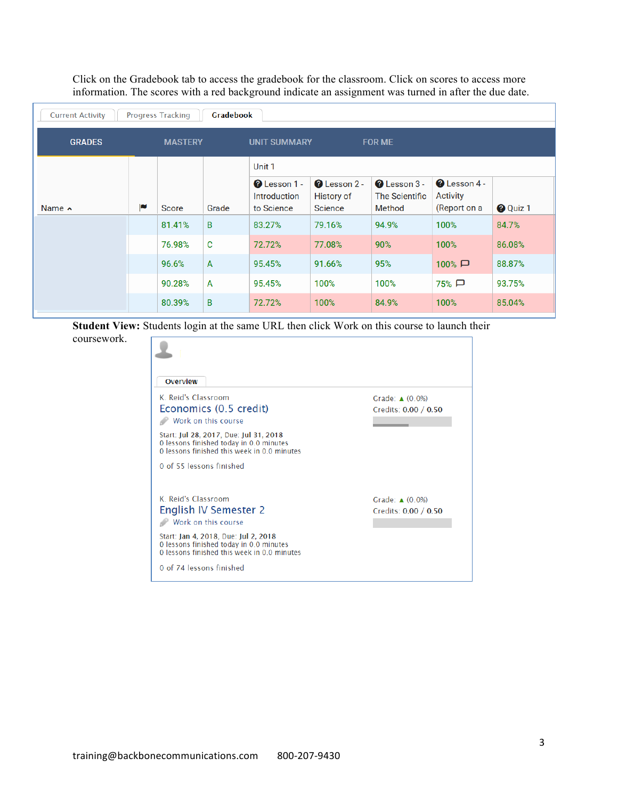Click on the Gradebook tab to access the gradebook for the classroom. Click on scores to access more information. The scores with a red background indicate an assignment was turned in after the due date.

| <b>Current Activity</b> |   | <b>Progress Tracking</b> | <b>Gradebook</b> |                                                   |                                               |                                                  |                                                 |                 |
|-------------------------|---|--------------------------|------------------|---------------------------------------------------|-----------------------------------------------|--------------------------------------------------|-------------------------------------------------|-----------------|
| <b>GRADES</b>           |   | <b>MASTERY</b>           |                  | <b>UNIT SUMMARY</b>                               |                                               | <b>FOR ME</b>                                    |                                                 |                 |
|                         |   |                          |                  | Unit 1                                            |                                               |                                                  |                                                 |                 |
| Name $\sim$             | p | <b>Score</b>             | Grade            | <b>Q</b> Lesson 1 -<br>Introduction<br>to Science | $\bullet$ Lesson 2 -<br>History of<br>Science | $\bullet$ Lesson 3 -<br>The Scientific<br>Method | <b>Q</b> Lesson 4 -<br>Activity<br>(Report on a | <b>O</b> Quiz 1 |
|                         |   | 81.41%                   | B                | 83.27%                                            | 79.16%                                        | 94.9%                                            | 100%                                            | 84.7%           |
|                         |   | 76.98%                   | C                | 72.72%                                            | 77.08%                                        | 90%                                              | 100%                                            | 86.08%          |
|                         |   | 96.6%                    | $\mathsf{A}$     | 95.45%                                            | 91.66%                                        | 95%                                              | $100\%$ $\Box$                                  | 88.87%          |
|                         |   | 90.28%                   | $\overline{A}$   | 95.45%                                            | 100%                                          | 100%                                             | 75% □                                           | 93.75%          |
|                         |   | 80.39%                   | B                | 72.72%                                            | 100%                                          | 84.9%                                            | 100%                                            | 85.04%          |

**Student View:** Students login at the same URL then click Work on this course to launch their coursework.

| Overview                                                                               |                           |
|----------------------------------------------------------------------------------------|---------------------------|
| K. Reid's Classroom                                                                    | Grade: $\triangle$ (0.0%) |
| Economics (0.5 credit)                                                                 | Credits: 0.00 / 0.50      |
| Work on this course                                                                    |                           |
| Start: Jul 28, 2017, Due: Jul 31, 2018<br>O lessons finished today in 0.0 minutes      |                           |
| O lessons finished this week in 0.0 minutes                                            |                           |
| 0 of 55 lessons finished                                                               |                           |
|                                                                                        |                           |
| K. Reid's Classroom                                                                    | Grade: $\triangle$ (0.0%) |
| English IV Semester 2                                                                  | Credits: 0.00 / 0.50      |
| Work on this course                                                                    |                           |
| Start: Jan 4, 2018, Due: Jul 2, 2018                                                   |                           |
| O lessons finished today in 0.0 minutes<br>O lessons finished this week in 0.0 minutes |                           |
|                                                                                        |                           |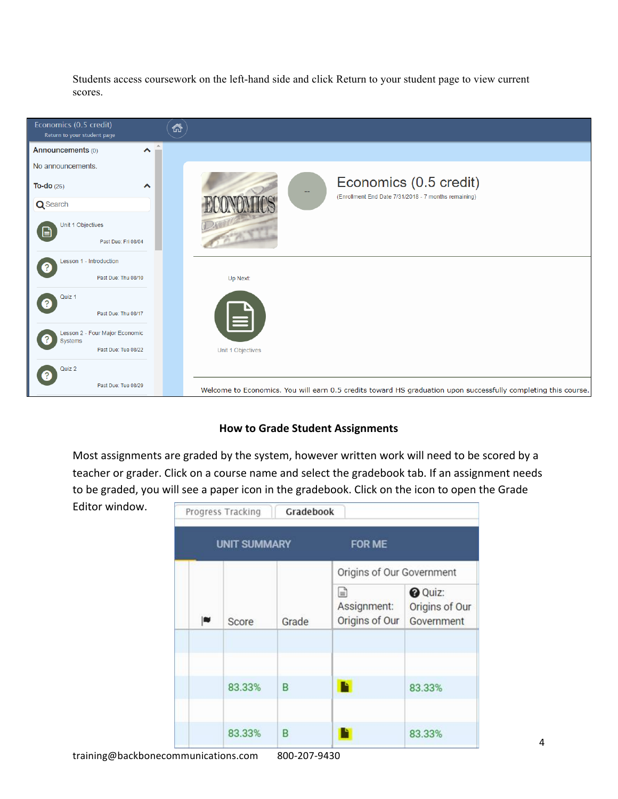Students access coursework on the left-hand side and click Return to your student page to view current scores.



# **How to Grade Student Assignments**

Most assignments are graded by the system, however written work will need to be scored by a teacher or grader. Click on a course name and select the gradebook tab. If an assignment needs to be graded, you will see a paper icon in the gradebook. Click on the icon to open the Grade

Editor window.

|    | Progress Tracking   | Gradebook |                                    |                                                |  |  |  |
|----|---------------------|-----------|------------------------------------|------------------------------------------------|--|--|--|
|    | <b>UNIT SUMMARY</b> |           | FOR ME                             |                                                |  |  |  |
|    |                     |           | Origins of Our Government          |                                                |  |  |  |
| EU | Score               | Grade     | ▤<br>Assignment:<br>Origins of Our | <b>O</b> Quiz:<br>Origins of Our<br>Government |  |  |  |
|    |                     |           |                                    |                                                |  |  |  |
|    | 83.33%              | B         |                                    | 83.33%                                         |  |  |  |
|    | 83.33%              | B         |                                    | 83.33%                                         |  |  |  |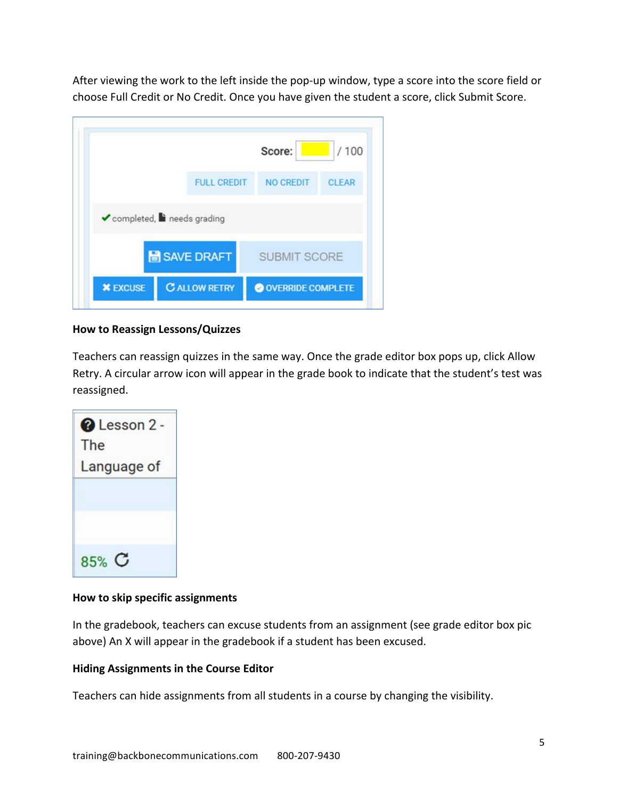After viewing the work to the left inside the pop-up window, type a score into the score field or choose Full Credit or No Credit. Once you have given the student a score, click Submit Score.



## **How to Reassign Lessons/Quizzes**

Teachers can reassign quizzes in the same way. Once the grade editor box pops up, click Allow Retry. A circular arrow icon will appear in the grade book to indicate that the student's test was reassigned.

| <b>@</b> Lesson 2 -<br>The |
|----------------------------|
| Language of                |
|                            |
|                            |
|                            |
| $85%$ $C$                  |

#### **How to skip specific assignments**

In the gradebook, teachers can excuse students from an assignment (see grade editor box pic above) An X will appear in the gradebook if a student has been excused.

#### **Hiding Assignments in the Course Editor**

Teachers can hide assignments from all students in a course by changing the visibility.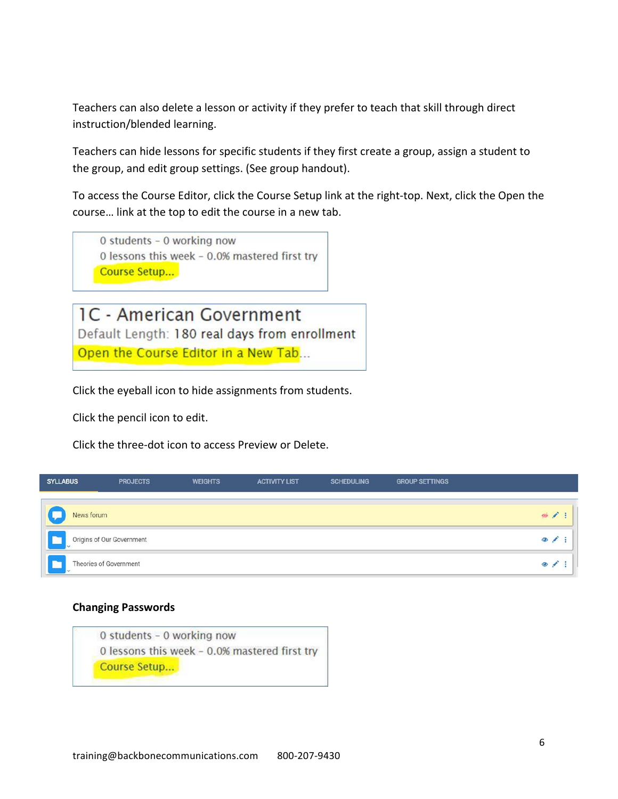Teachers can also delete a lesson or activity if they prefer to teach that skill through direct instruction/blended learning.

Teachers can hide lessons for specific students if they first create a group, assign a student to the group, and edit group settings. (See group handout).

To access the Course Editor, click the Course Setup link at the right-top. Next, click the Open the course... link at the top to edit the course in a new tab.

0 students - 0 working now 0 lessons this week - 0.0% mastered first try Course Setup...

1C - American Government Default Length: 180 real days from enrollment Open the Course Editor in a New Tab...

Click the eyeball icon to hide assignments from students.

Click the pencil icon to edit.

Click the three-dot icon to access Preview or Delete.

| <b>SYLLABUS</b> | <b>PROJECTS</b>           | <b>WEIGHTS</b> | <b>ACTIVITY LIST</b> | <b>SCHEDULING</b> | <b>GROUP SETTINGS</b> |               |
|-----------------|---------------------------|----------------|----------------------|-------------------|-----------------------|---------------|
|                 |                           |                |                      |                   |                       |               |
| News forum      |                           |                |                      |                   |                       | $\frac{1}{2}$ |
| $\checkmark$    | Origins of Our Government |                |                      |                   |                       | $\bullet$     |
|                 | Theories of Government    |                |                      |                   |                       | $\bullet$     |

#### **Changing Passwords**